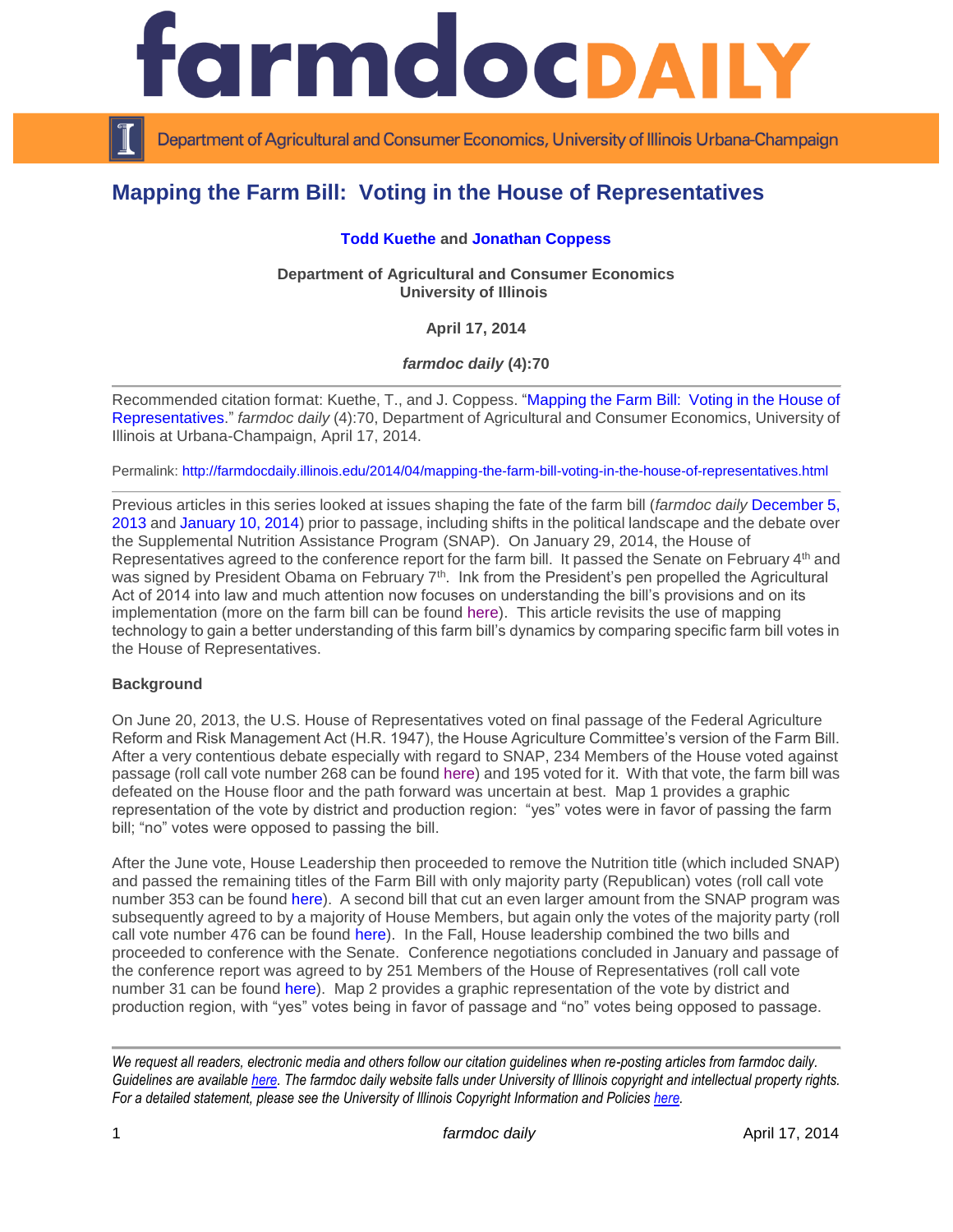

Department of Agricultural and Consumer Economics, University of Illinois Urbana-Champaign

# **Mapping the Farm Bill: Voting in the House of Representatives**

#### **[Todd Kuethe](http://illinois.edu/ds/detail?userId=tkuethe&search_type=all&search=*%20kuethe&from_result_list=true&skinId=0&sub=) and [Jonathan Coppess](http://illinois.edu/ds/detail?userId=jwcoppes&search_type=all&search=*%20coppess&from_result_list=true&skinId=0&sub=)**

**Department of Agricultural and Consumer Economics University of Illinois**

**April 17, 2014**

*farmdoc daily* **(4):70**

Recommended citation format: Kuethe, T., and J. Coppess. ["Mapping the Farm Bill: Voting in the House of](http://farmdocdaily.illinois.edu/2014/04/mapping-the-farm-bill-voting-in-the-house-of-representatives.html)  [Representatives.](http://farmdocdaily.illinois.edu/2014/04/mapping-the-farm-bill-voting-in-the-house-of-representatives.html)" *farmdoc daily* (4):70, Department of Agricultural and Consumer Economics, University of Illinois at Urbana-Champaign, April 17, 2014.

Permalink:<http://farmdocdaily.illinois.edu/2014/04/mapping-the-farm-bill-voting-in-the-house-of-representatives.html>

Previous articles in this series looked at issues shaping the fate of the farm bill (*farmdoc daily* [December 5,](http://farmdocdaily.illinois.edu/2013/12/mapping-fate-of-farm-bill.html)  [2013](http://farmdocdaily.illinois.edu/2013/12/mapping-fate-of-farm-bill.html) and [January 10, 2014\)](http://farmdocdaily.illinois.edu/2014/01/mapping-fate-of-farm-bill-2.html) prior to passage, including shifts in the political landscape and the debate over the Supplemental Nutrition Assistance Program (SNAP). On January 29, 2014, the House of Representatives agreed to the conference report for the farm bill. It passed the Senate on February 4<sup>th</sup> and was signed by President Obama on February 7<sup>th</sup>. Ink from the President's pen propelled the Agricultural Act of 2014 into law and much attention now focuses on understanding the bill's provisions and on its implementation (more on the farm bill can be found [here\)](http://farmdocdaily.illinois.edu/areas/2014_farm_bill/). This article revisits the use of mapping technology to gain a better understanding of this farm bill's dynamics by comparing specific farm bill votes in the House of Representatives.

## **Background**

On June 20, 2013, the U.S. House of Representatives voted on final passage of the Federal Agriculture Reform and Risk Management Act (H.R. 1947), the House Agriculture Committee's version of the Farm Bill. After a very contentious debate especially with regard to SNAP, 234 Members of the House voted against passage (roll call vote number 268 can be found [here\)](http://clerk.house.gov/evs/2013/roll286.xml) and 195 voted for it. With that vote, the farm bill was defeated on the House floor and the path forward was uncertain at best. Map 1 provides a graphic representation of the vote by district and production region: "yes" votes were in favor of passing the farm bill; "no" votes were opposed to passing the bill.

After the June vote, House Leadership then proceeded to remove the Nutrition title (which included SNAP) and passed the remaining titles of the Farm Bill with only majority party (Republican) votes (roll call vote number 353 can be found [here\)](http://clerk.house.gov/evs/2013/roll353.xml). A second bill that cut an even larger amount from the SNAP program was subsequently agreed to by a majority of House Members, but again only the votes of the majority party (roll call vote number 476 can be found [here\)](http://clerk.house.gov/evs/2013/roll476.xml). In the Fall, House leadership combined the two bills and proceeded to conference with the Senate. Conference negotiations concluded in January and passage of the conference report was agreed to by 251 Members of the House of Representatives (roll call vote number 31 can be found [here\)](http://clerk.house.gov/evs/2014/roll031.xml). Map 2 provides a graphic representation of the vote by district and production region, with "yes" votes being in favor of passage and "no" votes being opposed to passage.

*We request all readers, electronic media and others follow our citation guidelines when re-posting articles from farmdoc daily. Guidelines are available [here.](http://farmdocdaily.illinois.edu/citationguide.html) The farmdoc daily website falls under University of Illinois copyright and intellectual property rights. For a detailed statement, please see the University of Illinois Copyright Information and Policies [here.](http://www.cio.illinois.edu/policies/copyright/)*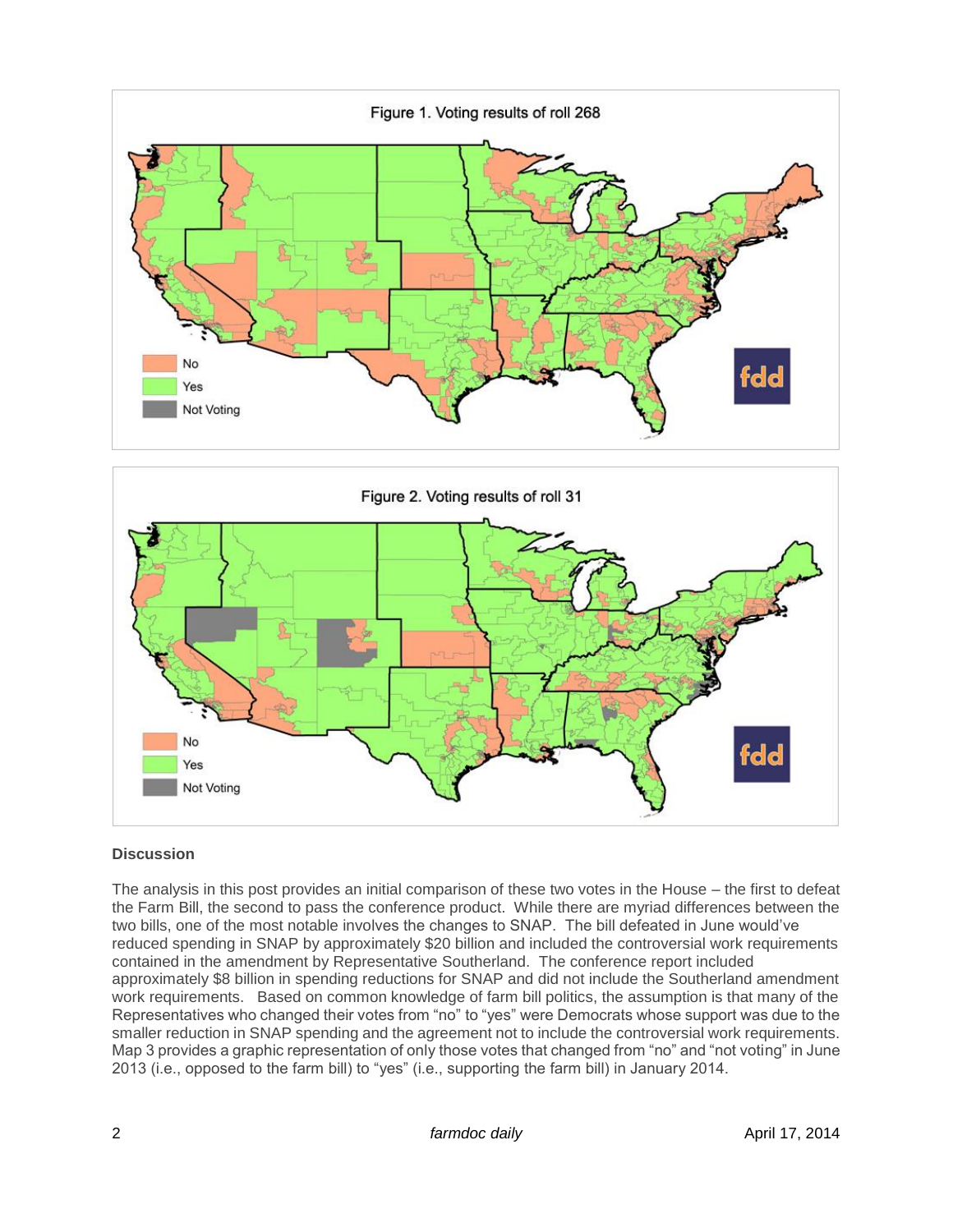



## **Discussion**

The analysis in this post provides an initial comparison of these two votes in the House – the first to defeat the Farm Bill, the second to pass the conference product. While there are myriad differences between the two bills, one of the most notable involves the changes to SNAP. The bill defeated in June would've reduced spending in SNAP by approximately \$20 billion and included the controversial work requirements contained in the amendment by Representative Southerland. The conference report included approximately \$8 billion in spending reductions for SNAP and did not include the Southerland amendment work requirements. Based on common knowledge of farm bill politics, the assumption is that many of the Representatives who changed their votes from "no" to "yes" were Democrats whose support was due to the smaller reduction in SNAP spending and the agreement not to include the controversial work requirements. Map 3 provides a graphic representation of only those votes that changed from "no" and "not voting" in June 2013 (i.e., opposed to the farm bill) to "yes" (i.e., supporting the farm bill) in January 2014.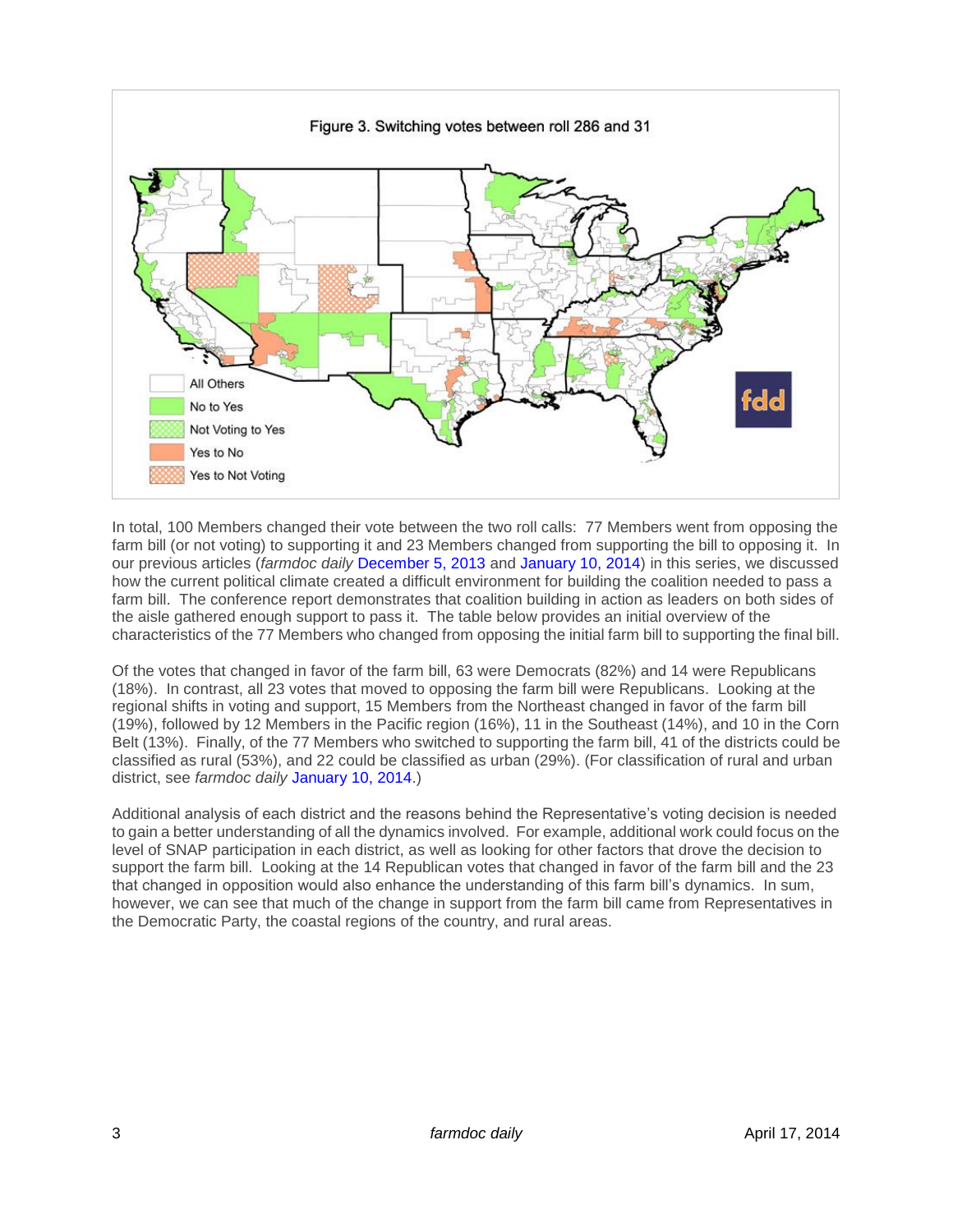

In total, 100 Members changed their vote between the two roll calls: 77 Members went from opposing the farm bill (or not voting) to supporting it and 23 Members changed from supporting the bill to opposing it. In our previous articles (*farmdoc daily* [December 5, 2013](http://farmdocdaily.illinois.edu/2013/12/mapping-fate-of-farm-bill.html) and [January 10, 2014\)](http://farmdocdaily.illinois.edu/2014/01/mapping-fate-of-farm-bill-2.html) in this series, we discussed how the current political climate created a difficult environment for building the coalition needed to pass a farm bill. The conference report demonstrates that coalition building in action as leaders on both sides of the aisle gathered enough support to pass it. The table below provides an initial overview of the characteristics of the 77 Members who changed from opposing the initial farm bill to supporting the final bill.

Of the votes that changed in favor of the farm bill, 63 were Democrats (82%) and 14 were Republicans (18%). In contrast, all 23 votes that moved to opposing the farm bill were Republicans. Looking at the regional shifts in voting and support, 15 Members from the Northeast changed in favor of the farm bill (19%), followed by 12 Members in the Pacific region (16%), 11 in the Southeast (14%), and 10 in the Corn Belt (13%). Finally, of the 77 Members who switched to supporting the farm bill, 41 of the districts could be classified as rural (53%), and 22 could be classified as urban (29%). (For classification of rural and urban district, see *farmdoc daily* [January 10, 2014.](http://farmdocdaily.illinois.edu/2014/01/mapping-fate-of-farm-bill-2.html))

Additional analysis of each district and the reasons behind the Representative's voting decision is needed to gain a better understanding of all the dynamics involved. For example, additional work could focus on the level of SNAP participation in each district, as well as looking for other factors that drove the decision to support the farm bill. Looking at the 14 Republican votes that changed in favor of the farm bill and the 23 that changed in opposition would also enhance the understanding of this farm bill's dynamics. In sum, however, we can see that much of the change in support from the farm bill came from Representatives in the Democratic Party, the coastal regions of the country, and rural areas.